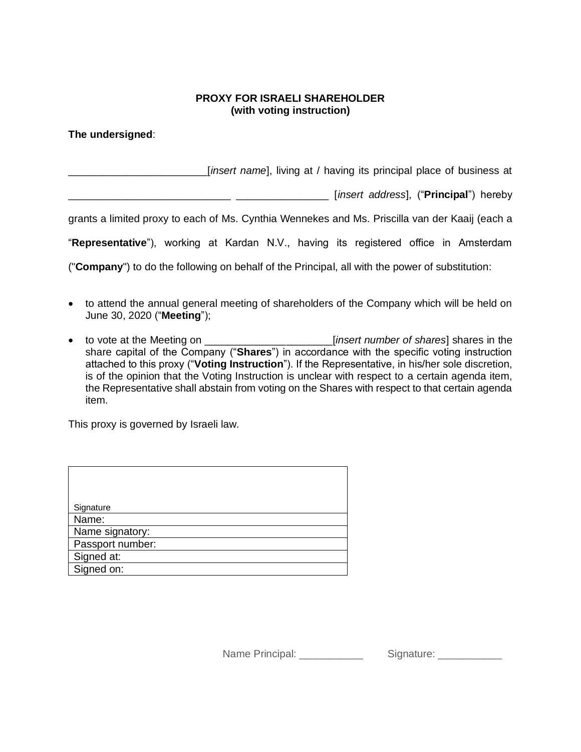## **PROXY FOR ISRAELI SHAREHOLDER (with voting instruction)**

**The undersigned**:

\_\_\_\_\_\_\_\_\_\_\_\_\_\_\_\_\_\_\_\_\_\_\_\_[*insert name*], living at / having its principal place of business at

\_\_\_\_\_\_\_\_\_\_\_\_\_\_\_\_\_\_\_\_\_\_\_\_\_\_\_\_ \_\_\_\_\_\_\_\_\_\_\_\_\_\_\_\_ [*insert address*], ("**Principal**") hereby

grants a limited proxy to each of Ms. Cynthia Wennekes and Ms. Priscilla van der Kaaij (each a

"**Representative**"), working at Kardan N.V., having its registered office in Amsterdam

("**Company**") to do the following on behalf of the Principal, all with the power of substitution:

- to attend the annual general meeting of shareholders of the Company which will be held on June 30, 2020 ("**Meeting**");
- to vote at the Meeting on \_\_\_\_\_\_\_\_\_\_\_\_\_\_\_\_\_\_\_\_\_\_[*insert number of shares*] shares in the share capital of the Company ("**Shares**") in accordance with the specific voting instruction attached to this proxy ("**Voting Instruction**"). If the Representative, in his/her sole discretion, is of the opinion that the Voting Instruction is unclear with respect to a certain agenda item, the Representative shall abstain from voting on the Shares with respect to that certain agenda item.

This proxy is governed by Israeli law.

| Signature        |
|------------------|
| Name:            |
| Name signatory:  |
| Passport number: |
| Signed at:       |
| Signed on:       |

Name Principal: example and Signature:  $\blacksquare$